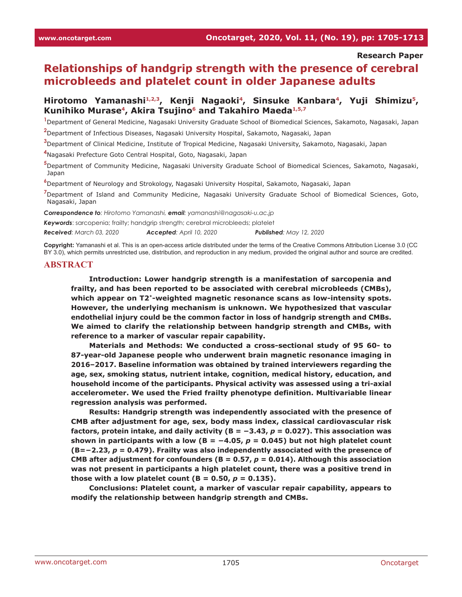#### **Research Paper**

# **Relationships of handgrip strength with the presence of cerebral microbleeds and platelet count in older Japanese adults**

## Hirotomo Yamanashi<sup>1,2,3</sup>, Kenji Nagaoki<sup>4</sup>, Sinsuke Kanbara<sup>4</sup>, Yuji Shimizu<sup>5</sup>, **Kunihiko Murase4, Akira Tsujino6 and Takahiro Maeda1,5,7**

**1** Department of General Medicine, Nagasaki University Graduate School of Biomedical Sciences, Sakamoto, Nagasaki, Japan

**2** Department of Infectious Diseases, Nagasaki University Hospital, Sakamoto, Nagasaki, Japan

**3** Department of Clinical Medicine, Institute of Tropical Medicine, Nagasaki University, Sakamoto, Nagasaki, Japan

**4** Nagasaki Prefecture Goto Central Hospital, Goto, Nagasaki, Japan

**5** Department of Community Medicine, Nagasaki University Graduate School of Biomedical Sciences, Sakamoto, Nagasaki, Japan

**6** Department of Neurology and Strokology, Nagasaki University Hospital, Sakamoto, Nagasaki, Japan

**7** Department of Island and Community Medicine, Nagasaki University Graduate School of Biomedical Sciences, Goto, Nagasaki, Japan

*Correspondence to: Hirotomo Yamanashi, email: yamanashi@nagasaki-u.ac.jp*

*Keywords*: sarcopenia; frailty; handgrip strength; cerebral microbleeds; platelet

*Received: March 03, 2020 Accepted: April 10, 2020 Published: May 12, 2020*

**Copyright:** Yamanashi et al. This is an open-access article distributed under the terms of the Creative Commons Attribution License 3.0 (CC BY 3.0), which permits unrestricted use, distribution, and reproduction in any medium, provided the original author and source are credited.

#### **ABSTRACT**

**Introduction: Lower handgrip strength is a manifestation of sarcopenia and frailty, and has been reported to be associated with cerebral microbleeds (CMBs), which appear on T2\*-weighted magnetic resonance scans as low-intensity spots. However, the underlying mechanism is unknown. We hypothesized that vascular endothelial injury could be the common factor in loss of handgrip strength and CMBs. We aimed to clarify the relationship between handgrip strength and CMBs, with reference to a marker of vascular repair capability.**

**Materials and Methods: We conducted a cross-sectional study of 95 60- to 87-year-old Japanese people who underwent brain magnetic resonance imaging in 2016–2017. Baseline information was obtained by trained interviewers regarding the age, sex, smoking status, nutrient intake, cognition, medical history, education, and household income of the participants. Physical activity was assessed using a tri-axial accelerometer. We used the Fried frailty phenotype definition. Multivariable linear regression analysis was performed.**

**Results: Handgrip strength was independently associated with the presence of CMB after adjustment for age, sex, body mass index, classical cardiovascular risk factors, protein intake, and daily activity (B = −3.43,** *p* **= 0.027). This association was**  shown in participants with a low ( $B = -4.05$ ,  $p = 0.045$ ) but not high platelet count **(B=−2.23,** *p* **= 0.479). Frailty was also independently associated with the presence of CMB after adjustment for confounders (B = 0.57,**  $p = 0.014$ **). Although this association was not present in participants a high platelet count, there was a positive trend in those with a low platelet count (B = 0.50,**  $p = 0.135$ **).** 

**Conclusions: Platelet count, a marker of vascular repair capability, appears to modify the relationship between handgrip strength and CMBs.**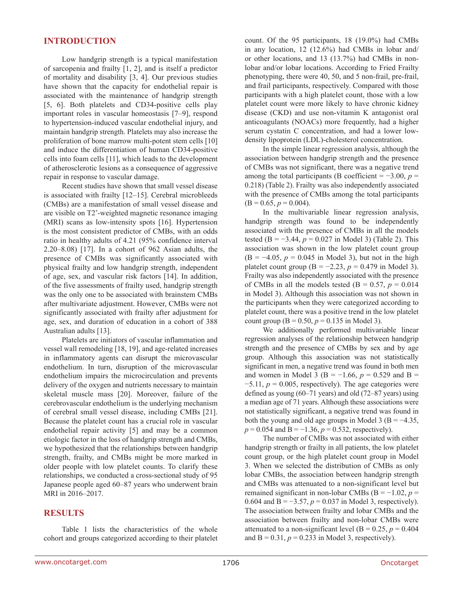### **INTRODUCTION**

Low handgrip strength is a typical manifestation of sarcopenia and frailty [1, 2], and is itself a predictor of mortality and disability [3, 4]. Our previous studies have shown that the capacity for endothelial repair is associated with the maintenance of handgrip strength [5, 6]. Both platelets and CD34-positive cells play important roles in vascular homeostasis [7–9], respond to hypertension-induced vascular endothelial injury, and maintain handgrip strength. Platelets may also increase the proliferation of bone marrow multi-potent stem cells [10] and induce the differentiation of human CD34-positive cells into foam cells [11], which leads to the development of atherosclerotic lesions as a consequence of aggressive repair in response to vascular damage.

Recent studies have shown that small vessel disease is associated with frailty [12–15]. Cerebral microbleeds (CMBs) are a manifestation of small vessel disease and are visible on T2\* -weighted magnetic resonance imaging (MRI) scans as low-intensity spots [16]. Hypertension is the most consistent predictor of CMBs, with an odds ratio in healthy adults of 4.21 (95% confidence interval 2.20–8.08) [17]. In a cohort of 962 Asian adults, the presence of CMBs was significantly associated with physical frailty and low handgrip strength, independent of age, sex, and vascular risk factors [14]. In addition, of the five assessments of frailty used, handgrip strength was the only one to be associated with brainstem CMBs after multivariate adjustment. However, CMBs were not significantly associated with frailty after adjustment for age, sex, and duration of education in a cohort of 388 Australian adults [13].

Platelets are initiators of vascular inflammation and vessel wall remodeling [18, 19], and age-related increases in inflammatory agents can disrupt the microvascular endothelium. In turn, disruption of the microvascular endothelium impairs the microcirculation and prevents delivery of the oxygen and nutrients necessary to maintain skeletal muscle mass [20]. Moreover, failure of the cerebrovascular endothelium is the underlying mechanism of cerebral small vessel disease, including CMBs [21]. Because the platelet count has a crucial role in vascular endothelial repair activity [5] and may be a common etiologic factor in the loss of handgrip strength and CMBs, we hypothesized that the relationships between handgrip strength, frailty, and CMBs might be more marked in older people with low platelet counts. To clarify these relationships, we conducted a cross-sectional study of 95 Japanese people aged 60–87 years who underwent brain MRI in 2016–2017.

### **RESULTS**

Table 1 lists the characteristics of the whole cohort and groups categorized according to their platelet count. Of the 95 participants, 18 (19.0%) had CMBs in any location, 12 (12.6%) had CMBs in lobar and/ or other locations, and 13 (13.7%) had CMBs in nonlobar and/or lobar locations. According to Fried Frailty phenotyping, there were 40, 50, and 5 non-frail, pre-frail, and frail participants, respectively. Compared with those participants with a high platelet count, those with a low platelet count were more likely to have chronic kidney disease (CKD) and use non-vitamin K antagonist oral anticoagulants (NOACs) more frequently, had a higher serum cystatin C concentration, and had a lower lowdensity lipoprotein (LDL)-cholesterol concentration.

In the simple linear regression analysis, although the association between handgrip strength and the presence of CMBs was not significant, there was a negative trend among the total participants (B coefficient =  $-3.00, p =$ 0.218) (Table 2). Frailty was also independently associated with the presence of CMBs among the total participants  $(B = 0.65, p = 0.004).$ 

In the multivariable linear regression analysis, handgrip strength was found to be independently associated with the presence of CMBs in all the models tested (B =  $-3.44$ ,  $p = 0.027$  in Model 3) (Table 2). This association was shown in the low platelet count group  $(B = -4.05, p = 0.045$  in Model 3), but not in the high platelet count group (B =  $-2.23$ , *p* = 0.479 in Model 3). Frailty was also independently associated with the presence of CMBs in all the models tested (B =  $0.57$ ,  $p = 0.014$ ) in Model 3). Although this association was not shown in the participants when they were categorized according to platelet count, there was a positive trend in the low platelet count group ( $B = 0.50$ ,  $p = 0.135$  in Model 3).

We additionally performed multivariable linear regression analyses of the relationship between handgrip strength and the presence of CMBs by sex and by age group. Although this association was not statistically significant in men, a negative trend was found in both men and women in Model 3 (B =  $-1.66$ ,  $p = 0.529$  and B =  $-5.11$ ,  $p = 0.005$ , respectively). The age categories were defined as young (60–71 years) and old (72–87 years) using a median age of 71 years. Although these associations were not statistically significant, a negative trend was found in both the young and old age groups in Model 3 (B =  $-4.35$ , *p* = 0.054 and B = −1.36, *p* = 0.532, respectively).

The number of CMBs was not associated with either handgrip strength or frailty in all patients, the low platelet count group, or the high platelet count group in Model 3. When we selected the distribution of CMBs as only lobar CMBs, the association between handgrip strength and CMBs was attenuated to a non-significant level but remained significant in non-lobar CMBs (B = −1.02, *p* = 0.604 and B = −3.57, *p* = 0.037 in Model 3, respectively). The association between frailty and lobar CMBs and the association between frailty and non-lobar CMBs were attenuated to a non-significant level ( $B = 0.25$ ,  $p = 0.404$ ) and  $B = 0.31$ ,  $p = 0.233$  in Model 3, respectively).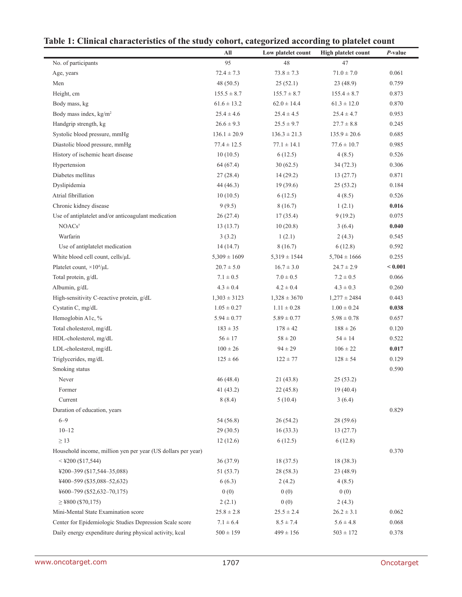| the stuury                                                   |                  | conor is categorized according to platelet count |                            |                 |
|--------------------------------------------------------------|------------------|--------------------------------------------------|----------------------------|-----------------|
|                                                              | All              | Low platelet count                               | <b>High platelet count</b> | <i>P</i> -value |
| No. of participants                                          | 95               | 48                                               | 47                         |                 |
| Age, years                                                   | $72.4 \pm 7.3$   | $73.8 \pm 7.3$                                   | $71.0 \pm 7.0$             | 0.061           |
| Men                                                          | 48(50.5)         | 25(52.1)                                         | 23(48.9)                   | 0.759           |
| Height, cm                                                   | $155.5 \pm 8.7$  | $155.7 \pm 8.7$                                  | $155.4 \pm 8.7$            | 0.873           |
| Body mass, kg                                                | $61.6 \pm 13.2$  | $62.0 \pm 14.4$                                  | $61.3 \pm 12.0$            | 0.870           |
| Body mass index, kg/m <sup>2</sup>                           | $25.4 \pm 4.6$   | $25.4 \pm 4.5$                                   | $25.4 \pm 4.7$             | 0.953           |
| Handgrip strength, kg                                        | $26.6 \pm 9.3$   | $25.5 \pm 9.7$                                   | $27.7 \pm 8.8$             | 0.245           |
| Systolic blood pressure, mmHg                                | $136.1 \pm 20.9$ | $136.3 \pm 21.3$                                 | $135.9 \pm 20.6$           | 0.685           |
| Diastolic blood pressure, mmHg                               | $77.4 \pm 12.5$  | $77.1 \pm 14.1$                                  | $77.6 \pm 10.7$            | 0.985           |
| History of ischemic heart disease                            | 10(10.5)         | 6(12.5)                                          | 4(8.5)                     | 0.526           |
| Hypertension                                                 | 64(67.4)         | 30(62.5)                                         | 34(72.3)                   | 0.306           |
| Diabetes mellitus                                            | 27(28.4)         | 14(29.2)                                         | 13(27.7)                   | 0.871           |
| Dyslipidemia                                                 | 44 (46.3)        | 19(39.6)                                         | 25(53.2)                   | 0.184           |
| Atrial fibrillation                                          | 10(10.5)         | 6(12.5)                                          | 4(8.5)                     | 0.526           |
| Chronic kidney disease                                       | 9(9.5)           | 8(16.7)                                          | 1(2.1)                     | 0.016           |
| Use of antiplatelet and/or anticoagulant medication          | 26(27.4)         | 17(35.4)                                         | 9(19.2)                    | 0.075           |
| NOACs <sup>†</sup>                                           | 13(13.7)         | 10(20.8)                                         | 3(6.4)                     | 0.040           |
| Warfarin                                                     | 3(3.2)           | 1(2.1)                                           | 2(4.3)                     | 0.545           |
| Use of antiplatelet medication                               | 14(14.7)         | 8(16.7)                                          | 6(12.8)                    | 0.592           |
| White blood cell count, cells/µL                             | $5,309 \pm 1609$ | $5,319 \pm 1544$                                 | $5,704 \pm 1666$           | 0.255           |
| Platelet count, $\times 10^4/\mu L$                          | $20.7 \pm 5.0$   | $16.7 \pm 3.0$                                   | $24.7 \pm 2.9$             | < 0.001         |
| Total protein, g/dL                                          | $7.1 \pm 0.5$    | $7.0 \pm 0.5$                                    | $7.2 \pm 0.5$              | 0.066           |
| Albumin, g/dL                                                | $4.3 \pm 0.4$    | $4.2 \pm 0.4$                                    | $4.3 \pm 0.3$              | 0.260           |
| High-sensitivity C-reactive protein, g/dL                    | $1,303 \pm 3123$ | $1,328 \pm 3670$                                 | $1,277 \pm 2484$           | 0.443           |
| Cystatin C, mg/dL                                            | $1.05 \pm 0.27$  | $1.11 \pm 0.28$                                  | $1.00 \pm 0.24$            | 0.038           |
| Hemoglobin A1c, %                                            | $5.94 \pm 0.77$  | $5.89 \pm 0.77$                                  | $5.98 \pm 0.78$            | 0.657           |
| Total cholesterol, mg/dL                                     | $183 \pm 35$     | $178 \pm 42$                                     | $188 \pm 26$               | 0.120           |
| HDL-cholesterol, mg/dL                                       | $56 \pm 17$      | $58 \pm 20$                                      | $54 \pm 14$                | 0.522           |
| LDL-cholesterol, mg/dL                                       | $100\pm26$       | $94 \pm 29$                                      | $106 \pm 22$               | 0.017           |
| Triglycerides, mg/dL                                         | $125 \pm 66$     | $122 \pm 77$                                     | $128 \pm 54$               | 0.129           |
| Smoking status                                               |                  |                                                  |                            | 0.590           |
| Never                                                        | 46(48.4)         | 21 (43.8)                                        | 25(53.2)                   |                 |
| Former                                                       | 41 $(43.2)$      | 22(45.8)                                         | 19(40.4)                   |                 |
| Current                                                      | 8(8.4)           | 5(10.4)                                          | 3(6.4)                     |                 |
| Duration of education, years                                 |                  |                                                  |                            | 0.829           |
| $6 - 9$                                                      | 54 (56.8)        | 26(54.2)                                         | 28(59.6)                   |                 |
| $10 - 12$                                                    | 29(30.5)         | 16(33.3)                                         | 13(27.7)                   |                 |
| $\geq$ 13                                                    | 12(12.6)         | 6(12.5)                                          | 6(12.8)                    |                 |
| Household income, million yen per year (US dollars per year) |                  |                                                  |                            | 0.370           |
| $<$ ¥200 (\$17,544)                                          | 36(37.9)         | 18(37.5)                                         | 18(38.3)                   |                 |
| ¥200-399 (\$17,544-35,088)                                   | 51(53.7)         | 28(58.3)                                         | 23 (48.9)                  |                 |
| ¥400-599 (\$35,088-52,632)                                   | 6(6.3)           | 2(4.2)                                           | 4(8.5)                     |                 |
| ¥600-799 (\$52,632-70,175)                                   | 0(0)             | 0(0)                                             | 0(0)                       |                 |
| $\geq$ ¥800 (\$70,175)                                       | 2(2.1)           | 0(0)                                             | 2(4.3)                     |                 |
| Mini-Mental State Examination score                          | $25.8 \pm 2.8$   | $25.5 \pm 2.4$                                   | $26.2 \pm 3.1$             | 0.062           |
| Center for Epidemiologic Studies Depression Scale score      | $7.1 \pm 6.4$    | $8.5 \pm 7.4$                                    | $5.6 \pm 4.8$              | 0.068           |
| Daily energy expenditure during physical activity, kcal      | $500 \pm 159$    | $499 \pm 156$                                    | $503 \pm 172$              | 0.378           |
|                                                              |                  |                                                  |                            |                 |

# **Table 1: Clinical characteristics of the study cohort, categorized according to platelet count**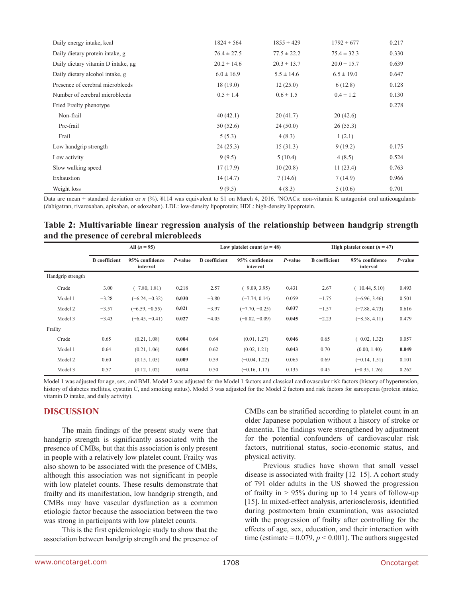| Daily energy intake, kcal          | $1824 \pm 564$  | $1855 \pm 429$  | $1792 \pm 677$  | 0.217 |
|------------------------------------|-----------------|-----------------|-----------------|-------|
| Daily dietary protein intake, g    | $76.4 \pm 27.5$ | $77.5 \pm 22.2$ | $75.4 \pm 32.3$ | 0.330 |
| Daily dietary vitamin D intake, µg | $20.2 \pm 14.6$ | $20.3 \pm 13.7$ | $20.0 \pm 15.7$ | 0.639 |
| Daily dietary alcohol intake, g    | $6.0 \pm 16.9$  | $5.5 \pm 14.6$  | $6.5 \pm 19.0$  | 0.647 |
| Presence of cerebral microbleeds   | 18(19.0)        | 12(25.0)        | 6(12.8)         | 0.128 |
| Number of cerebral microbleeds     | $0.5 \pm 1.4$   | $0.6 \pm 1.5$   | $0.4 \pm 1.2$   | 0.130 |
| Fried Frailty phenotype            |                 |                 |                 | 0.278 |
| Non-frail                          | 40(42.1)        | 20(41.7)        | 20(42.6)        |       |
| Pre-frail                          | 50(52.6)        | 24(50.0)        | 26(55.3)        |       |
| Frail                              | 5(5.3)          | 4(8.3)          | 1(2.1)          |       |
| Low handgrip strength              | 24(25.3)        | 15(31.3)        | 9(19.2)         | 0.175 |
| Low activity                       | 9(9.5)          | 5(10.4)         | 4(8.5)          | 0.524 |
| Slow walking speed                 | 17(17.9)        | 10(20.8)        | 11(23.4)        | 0.763 |
| Exhaustion                         | 14(14.7)        | 7(14.6)         | 7(14.9)         | 0.966 |
| Weight loss                        | 9(9.5)          | 4(8.3)          | 5(10.6)         | 0.701 |

Data are mean  $\pm$  standard deviation or *n* (%). ¥114 was equivalent to \$1 on March 4, 2016. †NOACs: non-vitamin K antagonist oral anticoagulants (dabigatran, rivaroxaban, apixaban, or edoxaban). LDL: low-density lipoprotein; HDL: high-density lipoprotein.

## **Table 2: Multivariable linear regression analysis of the relationship between handgrip strength and the presence of cerebral microbleeds**

|                   | All $(n = 95)$       |                            |            | Low platelet count $(n = 48)$ |                            |            | High platelet count $(n = 47)$ |                            |            |
|-------------------|----------------------|----------------------------|------------|-------------------------------|----------------------------|------------|--------------------------------|----------------------------|------------|
|                   | <b>B</b> coefficient | 95% confidence<br>interval | $P$ -value | <b>B</b> coefficient          | 95% confidence<br>interval | $P$ -value | <b>B</b> coefficient           | 95% confidence<br>interval | $P$ -value |
| Handgrip strength |                      |                            |            |                               |                            |            |                                |                            |            |
| Crude             | $-3.00$              | $(-7.80, 1.81)$            | 0.218      | $-2.57$                       | $(-9.09, 3.95)$            | 0.431      | $-2.67$                        | $(-10.44, 5.10)$           | 0.493      |
| Model 1           | $-3.28$              | $(-6.24, -0.32)$           | 0.030      | $-3.80$                       | $(-7.74, 0.14)$            | 0.059      | $-1.75$                        | $(-6.96, 3.46)$            | 0.501      |
| Model 2           | $-3.57$              | $(-6.59, -0.55)$           | 0.021      | $-3.97$                       | $(-7.70, -0.25)$           | 0.037      | $-1.57$                        | $(-7.88, 4.73)$            | 0.616      |
| Model 3           | $-3.43$              | $(-6.45, -0.41)$           | 0.027      | $-4.05$                       | $(-8.02, -0.09)$           | 0.045      | $-2.23$                        | $(-8.58, 4.11)$            | 0.479      |
| Frailty           |                      |                            |            |                               |                            |            |                                |                            |            |
| Crude             | 0.65                 | (0.21, 1.08)               | 0.004      | 0.64                          | (0.01, 1.27)               | 0.046      | 0.65                           | $(-0.02, 1.32)$            | 0.057      |
| Model 1           | 0.64                 | (0.21, 1.06)               | 0.004      | 0.62                          | (0.02, 1.21)               | 0.043      | 0.70                           | (0.00, 1.40)               | 0.049      |
| Model 2           | 0.60                 | (0.15, 1.05)               | 0.009      | 0.59                          | $(-0.04, 1.22)$            | 0.065      | 0.69                           | $(-0.14, 1.51)$            | 0.101      |
| Model 3           | 0.57                 | (0.12, 1.02)               | 0.014      | 0.50                          | $(-0.16, 1.17)$            | 0.135      | 0.45                           | $(-0.35, 1.26)$            | 0.262      |

Model 1 was adjusted for age, sex, and BMI. Model 2 was adjusted for the Model 1 factors and classical cardiovascular risk factors (history of hypertension, history of diabetes mellitus, cystatin C, and smoking status). Model 3 was adjusted for the Model 2 factors and risk factors for sarcopenia (protein intake, vitamin D intake, and daily activity).

### **DISCUSSION**

The main findings of the present study were that handgrip strength is significantly associated with the presence of CMBs, but that this association is only present in people with a relatively low platelet count. Frailty was also shown to be associated with the presence of CMBs, although this association was not significant in people with low platelet counts. These results demonstrate that frailty and its manifestation, low handgrip strength, and CMBs may have vascular dysfunction as a common etiologic factor because the association between the two was strong in participants with low platelet counts.

This is the first epidemiologic study to show that the association between handgrip strength and the presence of CMBs can be stratified according to platelet count in an older Japanese population without a history of stroke or dementia. The findings were strengthened by adjustment for the potential confounders of cardiovascular risk factors, nutritional status, socio-economic status, and physical activity.

Previous studies have shown that small vessel disease is associated with frailty [12–15]. A cohort study of 791 older adults in the US showed the progression of frailty in  $> 95\%$  during up to 14 years of follow-up [15]. In mixed-effect analysis, arteriosclerosis, identified during postmortem brain examination, was associated with the progression of frailty after controlling for the effects of age, sex, education, and their interaction with time (estimate =  $0.079$ ,  $p < 0.001$ ). The authors suggested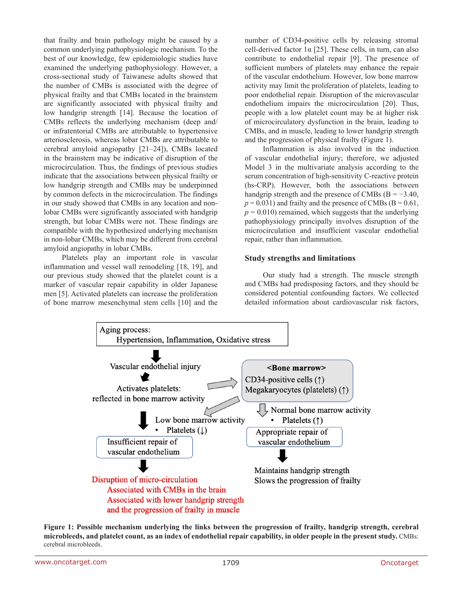that frailty and brain pathology might be caused by a common underlying pathophysiologic mechanism. To the best of our knowledge, few epidemiologic studies have examined the underlying pathophysiology. However, a cross-sectional study of Taiwanese adults showed that the number of CMBs is associated with the degree of physical frailty and that CMBs located in the brainstem are significantly associated with physical frailty and low handgrip strength [14]. Because the location of CMBs reflects the underlying mechanism (deep and/ or infratentorial CMBs are attributable to hypertensive arteriosclerosis, whereas lobar CMBs are attributable to cerebral amyloid angiopathy [21–24]), CMBs located in the brainstem may be indicative of disruption of the microcirculation. Thus, the findings of previous studies indicate that the associations between physical frailty or low handgrip strength and CMBs may be underpinned by common defects in the microcirculation. The findings in our study showed that CMBs in any location and nonlobar CMBs were significantly associated with handgrip strength, but lobar CMBs were not. These findings are compatible with the hypothesized underlying mechanism in non-lobar CMBs, which may be different from cerebral amyloid angiopathy in lobar CMBs.

Platelets play an important role in vascular inflammation and vessel wall remodeling [18, 19], and our previous study showed that the platelet count is a marker of vascular repair capability in older Japanese men [5]. Activated platelets can increase the proliferation of bone marrow mesenchymal stem cells [10] and the

number of CD34-positive cells by releasing stromal cell-derived factor  $1\alpha$  [25]. These cells, in turn, can also contribute to endothelial repair [9]. The presence of sufficient numbers of platelets may enhance the repair of the vascular endothelium. However, low bone marrow activity may limit the proliferation of platelets, leading to poor endothelial repair. Disruption of the microvascular endothelium impairs the microcirculation [20]. Thus, people with a low platelet count may be at higher risk of microcirculatory dysfunction in the brain, leading to CMBs, and in muscle, leading to lower handgrip strength and the progression of physical frailty (Figure 1).

Inflammation is also involved in the induction of vascular endothelial injury; therefore, we adjusted Model 3 in the multivariate analysis according to the serum concentration of high-sensitivity C-reactive protein (hs-CRP). However, both the associations between handgrip strength and the presence of CMBs ( $B = -3.40$ ,  $p = 0.031$ ) and frailty and the presence of CMBs ( $B = 0.61$ ,  $p = 0.010$ ) remained, which suggests that the underlying pathophysiology principally involves disruption of the microcirculation and insufficient vascular endothelial repair, rather than inflammation.

#### **Study strengths and limitations**

Our study had a strength. The muscle strength and CMBs had predisposing factors, and they should be considered potential confounding factors. We collected detailed information about cardiovascular risk factors,



**Figure 1: Possible mechanism underlying the links between the progression of frailty, handgrip strength, cerebral microbleeds, and platelet count, as an index of endothelial repair capability, in older people in the present study.** CMBs: cerebral microbleeds.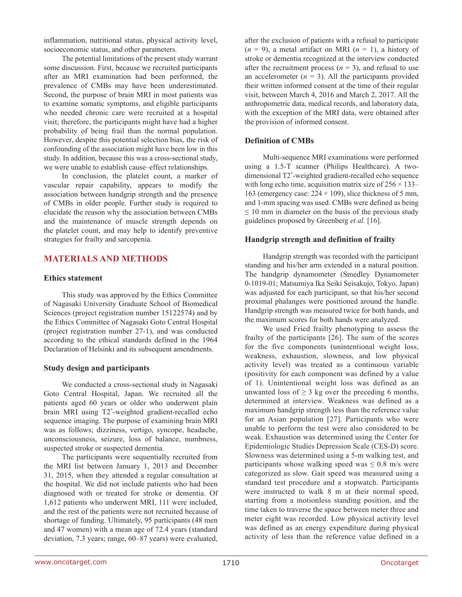inflammation, nutritional status, physical activity level, socioeconomic status, and other parameters.

The potential limitations of the present study warrant some discussion. First, because we recruited participants after an MRI examination had been performed, the prevalence of CMBs may have been underestimated. Second, the purpose of brain MRI in most patients was to examine somatic symptoms, and eligible participants who needed chronic care were recruited at a hospital visit; therefore, the participants might have had a higher probability of being frail than the normal population. However, despite this potential selection bias, the risk of confounding of the association might have been low in this study. In addition, because this was a cross-sectional study, we were unable to establish cause–effect relationships.

In conclusion, the platelet count, a marker of vascular repair capability, appears to modify the association between handgrip strength and the presence of CMBs in older people. Further study is required to elucidate the reason why the association between CMBs and the maintenance of muscle strength depends on the platelet count, and may help to identify preventive strategies for frailty and sarcopenia.

## **MATERIALS AND METHODS**

### **Ethics statement**

This study was approved by the Ethics Committee of Nagasaki University Graduate School of Biomedical Sciences (project registration number 15122574) and by the Ethics Committee of Nagasaki Goto Central Hospital (project registration number 27-1), and was conducted according to the ethical standards defined in the 1964 Declaration of Helsinki and its subsequent amendments.

### **Study design and participants**

We conducted a cross-sectional study in Nagasaki Goto Central Hospital, Japan. We recruited all the patients aged 60 years or older who underwent plain brain MRI using T2\* -weighted gradient-recalled echo sequence imaging. The purpose of examining brain MRI was as follows; dizziness, vertigo, syncope, headache, unconsciousness, seizure, loss of balance, numbness, suspected stroke or suspected dementia.

The participants were sequentially recruited from the MRI list between January 1, 2013 and December 31, 2015, when they attended a regular consultation at the hospital. We did not include patients who had been diagnosed with or treated for stroke or dementia. Of 1,612 patients who underwent MRI, 111 were included, and the rest of the patients were not recruited because of shortage of funding. Ultimately, 95 participants (48 men and 47 women) with a mean age of 72.4 years (standard deviation, 7.3 years; range, 60–87 years) were evaluated,

after the exclusion of patients with a refusal to participate  $(n = 9)$ , a metal artifact on MRI  $(n = 1)$ , a history of stroke or dementia recognized at the interview conducted after the recruitment process  $(n = 3)$ , and refusal to use an accelerometer  $(n = 3)$ . All the participants provided their written informed consent at the time of their regular visit, between March 4, 2016 and March 2, 2017. All the anthropometric data, medical records, and laboratory data, with the exception of the MRI data, were obtained after the provision of informed consent.

### **Definition of CMBs**

Multi-sequence MRI examinations were performed using a 1.5-T scanner (Philips Healthcare). A twodimensional T2\* -weighted gradient-recalled echo sequence with long echo time, acquisition matrix size of  $256 \times 133$ – 163 (emergency case:  $224 \times 109$ ), slice thickness of 5 mm, and 1-mm spacing was used. CMBs were defined as being  $\leq 10$  mm in diameter on the basis of the previous study guidelines proposed by Greenberg *et al.* [16].

### **Handgrip strength and definition of frailty**

Handgrip strength was recorded with the participant standing and his/her arm extended in a natural position. The handgrip dynamometer (Smedley Dynamometer 0-1019-01; Matsumiya Ika Seiki Seisakujo, Tokyo, Japan) was adjusted for each participant, so that his/her second proximal phalanges were positioned around the handle. Handgrip strength was measured twice for both hands, and the maximum scores for both hands were analyzed.

We used Fried frailty phenotyping to assess the frailty of the participants [26]. The sum of the scores for the five components (unintentional weight loss, weakness, exhaustion, slowness, and low physical activity level) was treated as a continuous variable (positivity for each component was defined by a value of 1). Unintentional weight loss was defined as an unwanted loss of  $\geq$  3 kg over the preceding 6 months, determined at interview. Weakness was defined as a maximum handgrip strength less than the reference value for an Asian population [27]. Participants who were unable to perform the test were also considered to be weak. Exhaustion was determined using the Center for Epidemiologic Studies Depression Scale (CES-D) score. Slowness was determined using a 5-m walking test, and participants whose walking speed was  $\leq 0.8$  m/s were categorized as slow. Gait speed was measured using a standard test procedure and a stopwatch. Participants were instructed to walk 8 m at their normal speed, starting from a motionless standing position, and the time taken to traverse the space between meter three and meter eight was recorded. Low physical activity level was defined as an energy expenditure during physical activity of less than the reference value defined in a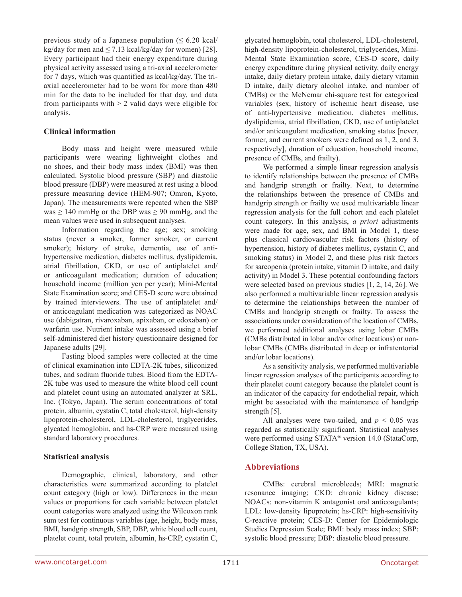previous study of a Japanese population  $(\leq 6.20 \text{ kcal})$ kg/day for men and  $\leq$  7.13 kcal/kg/day for women) [28]. Every participant had their energy expenditure during physical activity assessed using a tri-axial accelerometer for 7 days, which was quantified as kcal/kg/day. The triaxial accelerometer had to be worn for more than 480 min for the data to be included for that day, and data from participants with  $> 2$  valid days were eligible for analysis.

### **Clinical information**

Body mass and height were measured while participants were wearing lightweight clothes and no shoes, and their body mass index (BMI) was then calculated. Systolic blood pressure (SBP) and diastolic blood pressure (DBP) were measured at rest using a blood pressure measuring device (HEM-907; Omron, Kyoto, Japan). The measurements were repeated when the SBP was  $\geq$  140 mmHg or the DBP was  $\geq$  90 mmHg, and the mean values were used in subsequent analyses.

Information regarding the age; sex; smoking status (never a smoker, former smoker, or current smoker); history of stroke, dementia, use of antihypertensive medication, diabetes mellitus, dyslipidemia, atrial fibrillation, CKD, or use of antiplatelet and/ or anticoagulant medication; duration of education; household income (million yen per year); Mini-Mental State Examination score; and CES-D score were obtained by trained interviewers. The use of antiplatelet and/ or anticoagulant medication was categorized as NOAC use (dabigatran, rivaroxaban, apixaban, or edoxaban) or warfarin use. Nutrient intake was assessed using a brief self-administered diet history questionnaire designed for Japanese adults [29].

Fasting blood samples were collected at the time of clinical examination into EDTA-2K tubes, siliconized tubes, and sodium fluoride tubes. Blood from the EDTA-2K tube was used to measure the white blood cell count and platelet count using an automated analyzer at SRL, Inc. (Tokyo, Japan). The serum concentrations of total protein, albumin, cystatin C, total cholesterol, high-density lipoprotein-cholesterol, LDL-cholesterol, triglycerides, glycated hemoglobin, and hs-CRP were measured using standard laboratory procedures.

### **Statistical analysis**

Demographic, clinical, laboratory, and other characteristics were summarized according to platelet count category (high or low). Differences in the mean values or proportions for each variable between platelet count categories were analyzed using the Wilcoxon rank sum test for continuous variables (age, height, body mass, BMI, handgrip strength, SBP, DBP, white blood cell count, platelet count, total protein, albumin, hs-CRP, cystatin C, glycated hemoglobin, total cholesterol, LDL-cholesterol, high-density lipoprotein-cholesterol, triglycerides, Mini-Mental State Examination score, CES-D score, daily energy expenditure during physical activity, daily energy intake, daily dietary protein intake, daily dietary vitamin D intake, daily dietary alcohol intake, and number of CMBs) or the McNemar chi-square test for categorical variables (sex, history of ischemic heart disease, use of anti-hypertensive medication, diabetes mellitus, dyslipidemia, atrial fibrillation, CKD, use of antiplatelet and/or anticoagulant medication, smoking status [never, former, and current smokers were defined as 1, 2, and 3, respectively], duration of education, household income, presence of CMBs, and frailty).

We performed a simple linear regression analysis to identify relationships between the presence of CMBs and handgrip strength or frailty. Next, to determine the relationships between the presence of CMBs and handgrip strength or frailty we used multivariable linear regression analysis for the full cohort and each platelet count category. In this analysis, *a priori* adjustments were made for age, sex, and BMI in Model 1, these plus classical cardiovascular risk factors (history of hypertension, history of diabetes mellitus, cystatin C, and smoking status) in Model 2, and these plus risk factors for sarcopenia (protein intake, vitamin D intake, and daily activity) in Model 3. These potential confounding factors were selected based on previous studies [1, 2, 14, 26]. We also performed a multivariable linear regression analysis to determine the relationships between the number of CMBs and handgrip strength or frailty. To assess the associations under consideration of the location of CMBs, we performed additional analyses using lobar CMBs (CMBs distributed in lobar and/or other locations) or nonlobar CMBs (CMBs distributed in deep or infratentorial and/or lobar locations).

As a sensitivity analysis, we performed multivariable linear regression analyses of the participants according to their platelet count category because the platelet count is an indicator of the capacity for endothelial repair, which might be associated with the maintenance of handgrip strength [5].

All analyses were two-tailed, and  $p < 0.05$  was regarded as statistically significant. Statistical analyses were performed using STATA® version 14.0 (StataCorp, College Station, TX, USA).

### **Abbreviations**

CMBs: cerebral microbleeds; MRI: magnetic resonance imaging; CKD: chronic kidney disease; NOACs: non-vitamin K antagonist oral anticoagulants; LDL: low-density lipoprotein; hs-CRP: high-sensitivity C-reactive protein; CES-D: Center for Epidemiologic Studies Depression Scale; BMI: body mass index; SBP: systolic blood pressure; DBP: diastolic blood pressure.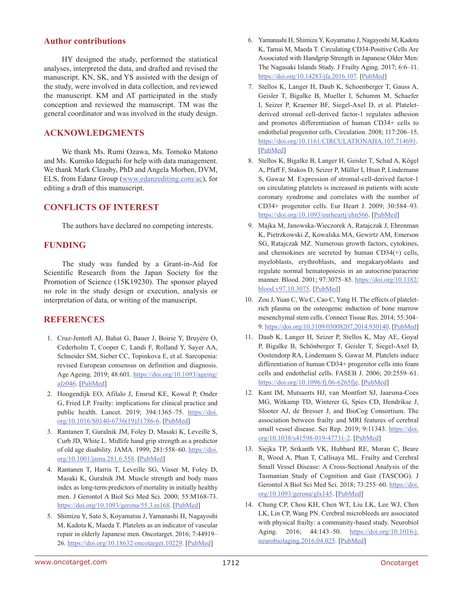### **Author contributions**

HY designed the study, performed the statistical analyses, interpreted the data, and drafted and revised the manuscript. KN, SK, and YS assisted with the design of the study, were involved in data collection, and reviewed the manuscript. KM and AT participated in the study conception and reviewed the manuscript. TM was the general coordinator and was involved in the study design.

### **ACKNOWLEDGMENTS**

We thank Ms. Rumi Ozawa, Ms. Tomoko Matono and Ms. Kumiko Ideguchi for help with data management. We thank Mark Cleasby, PhD and Angela Morben, DVM, ELS, from Edanz Group [\(www.edanzediting.com/ac](www.edanzediting.com/ac)), for editing a draft of this manuscript.

### **CONFLICTS OF INTEREST**

The authors have declared no competing interests.

## **FUNDING**

The study was funded by a Grant-in-Aid for Scientific Research from the Japan Society for the Promotion of Science (15K19230). The sponsor played no role in the study design or execution, analysis or interpretation of data, or writing of the manuscript.

### **REFERENCES**

- 1. Cruz-Jentoft AJ, Bahat G, Bauer J, Boirie Y, Bruyère O, Cederholm T, Cooper C, Landi F, Rolland Y, Sayer AA, Schneider SM, Sieber CC, Topinkova E, et al. Sarcopenia: revised European consensus on definition and diagnosis. Age Ageing. 2019; 48:601. [https://doi.org/10.1093/ageing/](https://doi.org/10.1093/ageing/afz046) [afz046](https://doi.org/10.1093/ageing/afz046). [[PubMed](https://www.ncbi.nlm.nih.gov/pubmed/31081853)]
- 2. Hoogendijk EO, Afilalo J, Ensrud KE, Kowal P, Onder G, Fried LP. Frailty: implications for clinical practice and public health. Lancet. 2019; 394:1365–75. [https://doi.](https://doi.org/10.1016/S0140-6736(19)31786-6) [org/10.1016/S0140-6736\(19\)31786-6](https://doi.org/10.1016/S0140-6736(19)31786-6). [[PubMed](https://www.ncbi.nlm.nih.gov/pubmed/31609228)]
- 3. Rantanen T, Guralnik JM, Foley D, Masaki K, Leveille S, Curb JD, White L. Midlife hand grip strength as a predictor of old age disability. JAMA. 1999; 281:558–60. [https://doi.](https://doi.org/10.1001/jama.281.6.558) [org/10.1001/jama.281.6.558.](https://doi.org/10.1001/jama.281.6.558) [\[PubMed\]](https://www.ncbi.nlm.nih.gov/pubmed/10022113)
- 4. Rantanen T, Harris T, Leveille SG, Visser M, Foley D, Masaki K, Guralnik JM. Muscle strength and body mass index as long-term predictors of mortality in initially healthy men. J Gerontol A Biol Sci Med Sci. 2000; 55:M168-73. [https://doi.org/10.1093/gerona/55.3.m168.](https://doi.org/10.1093/gerona/55.3.m168) [\[PubMed\]](https://www.ncbi.nlm.nih.gov/pubmed/10795731)
- 5. Shimizu Y, Sato S, Koyamatsu J, Yamanashi H, Nagayoshi M, Kadota K, Maeda T. Platelets as an indicator of vascular repair in elderly Japanese men. Oncotarget. 2016; 7:44919– 26. <https://doi.org/10.18632/oncotarget.10229>. [[PubMed](https://www.ncbi.nlm.nih.gov/pubmed/27374094)]
- 6. Yamanashi H, Shimizu Y, Koyamatsu J, Nagayoshi M, Kadota K, Tamai M, Maeda T. Circulating CD34-Positive Cells Are Associated with Handgrip Strength in Japanese Older Men: The Nagasaki Islands Study. J Frailty Aging. 2017; 6:6–11. [https://doi.org/10.14283/jfa.2016.107.](https://doi.org/10.14283/jfa.2016.107) [[PubMed\]](https://www.ncbi.nlm.nih.gov/pubmed/28244551)
- 7. Stellos K, Langer H, Daub K, Schoenberger T, Gauss A, Geisler T, Bigalke B, Mueller I, Schumm M, Schaefer I, Seizer P, Kraemer BF, Siegel-Axel D, et al. Plateletderived stromal cell-derived factor-1 regulates adhesion and promotes differentiation of human CD34+ cells to endothelial progenitor cells. Circulation. 2008; 117:206–15. [https://doi.org/10.1161/CIRCULATIONAHA.107.714691.](https://doi.org/10.1161/CIRCULATIONAHA.107.714691) [\[PubMed\]](https://www.ncbi.nlm.nih.gov/pubmed/18086932)
- 8. Stellos K, Bigalke B, Langer H, Geisler T, Schad A, Kögel A, Pfaff F, Stakos D, Seizer P, Müller I, Htun P, Lindemann S, Gawaz M. Expression of stromal-cell-derived factor-1 on circulating platelets is increased in patients with acute coronary syndrome and correlates with the number of CD34+ progenitor cells. Eur Heart J. 2009; 30:584–93. <https://doi.org/10.1093/eurheartj/ehn566>. [[PubMed](https://www.ncbi.nlm.nih.gov/pubmed/19109356)]
- 9. Majka M, Janowska-Wieczorek A, Ratajczak J, Ehrenman K, Pietrzkowski Z, Kowalska MA, Gewirtz AM, Emerson SG, Ratajczak MZ. Numerous growth factors, cytokines, and chemokines are secreted by human CD34(+) cells, myeloblasts, erythroblasts, and megakaryoblasts and regulate normal hematopoiesis in an autocrine/paracrine manner. Blood. 2001; 97:3075-85. [https://doi.org/10.1182/](https://doi.org/10.1182/blood.v97.10.3075) [blood.v97.10.3075](https://doi.org/10.1182/blood.v97.10.3075). [[PubMed](https://www.ncbi.nlm.nih.gov/pubmed/11342433)]
- 10. Zou J, Yuan C, Wu C, Cao C, Yang H. The effects of plateletrich plasma on the osteogenic induction of bone marrow mesenchymal stem cells. Connect Tissue Res. 2014; 55:304– 9.<https://doi.org/10.3109/03008207.2014.930140>. [\[PubMed](https://www.ncbi.nlm.nih.gov/pubmed/24874552)]
- 11. Daub K, Langer H, Seizer P, Stellos K, May AE, Goyal P, Bigalke B, Schönberger T, Geisler T, Siegel-Axel D, Oostendorp RA, Lindemann S, Gawaz M. Platelets induce differentiation of human CD34+ progenitor cells into foam cells and endothelial cells. FASEB J. 2006; 20:2559–61. [https://doi.org/10.1096/fj.06-6265fje.](https://doi.org/10.1096/fj.06-6265fje) [\[PubMed\]](https://www.ncbi.nlm.nih.gov/pubmed/17077283)
- 12. Kant IM, Mutsaerts HJ, van Montfort SJ, Jaarsma-Coes MG, Witkamp TD, Winterer G, Spies CD, Hendrikse J, Slooter AJ, de Bresser J, and BioCog Consortium. The association between frailty and MRI features of cerebral small vessel disease. Sci Rep. 2019; 9:11343. [https://doi.](https://doi.org/10.1038/s41598-019-47731-2) [org/10.1038/s41598-019-47731-2](https://doi.org/10.1038/s41598-019-47731-2). [[PubMed](https://www.ncbi.nlm.nih.gov/pubmed/31383903)]
- 13. Siejka TP, Srikanth VK, Hubbard RE, Moran C, Beare R, Wood A, Phan T, Callisaya ML. Frailty and Cerebral Small Vessel Disease: A Cross-Sectional Analysis of the Tasmanian Study of Cognition and Gait (TASCOG). J Gerontol A Biol Sci Med Sci. 2018; 73:255-60. [https://doi.](https://doi.org/10.1093/gerona/glx145) [org/10.1093/gerona/glx145.](https://doi.org/10.1093/gerona/glx145) [\[PubMed\]](https://www.ncbi.nlm.nih.gov/pubmed/28977392)
- 14. Chung CP, Chou KH, Chen WT, Liu LK, Lee WJ, Chen LK, Lin CP, Wang PN. Cerebral microbleeds are associated with physical frailty: a community-based study. Neurobiol Aging. 2016; 44:143-50. [https://doi.org/10.1016/j.](https://doi.org/10.1016/j.neurobiolaging.2016.04.025) [neurobiolaging.2016.04.025](https://doi.org/10.1016/j.neurobiolaging.2016.04.025). [[PubMed](https://www.ncbi.nlm.nih.gov/pubmed/27318142)]